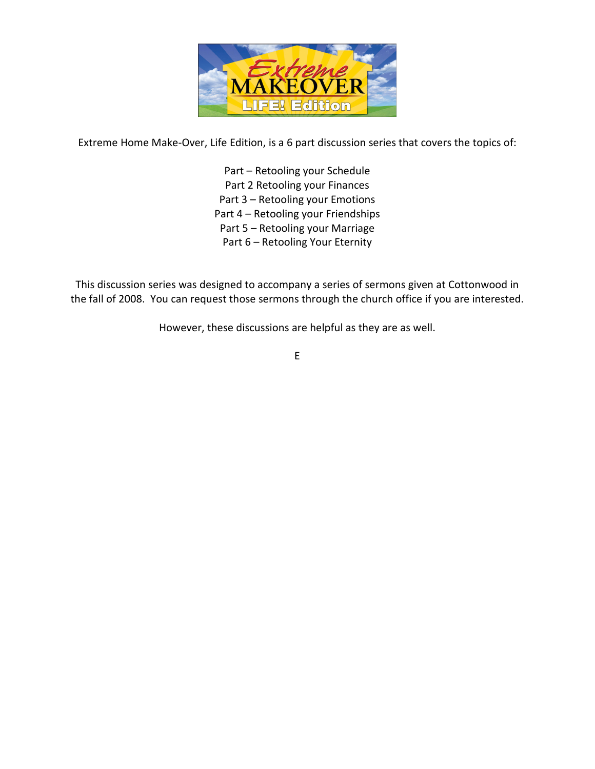

Extreme Home Make-Over, Life Edition, is a 6 part discussion series that covers the topics of:

Part – Retooling your Schedule Part 2 Retooling your Finances Part 3 – Retooling your Emotions Part 4 – Retooling your Friendships Part 5 – Retooling your Marriage Part 6 – Retooling Your Eternity

This discussion series was designed to accompany a series of sermons given at Cottonwood in the fall of 2008. You can request those sermons through the church office if you are interested.

However, these discussions are helpful as they are as well.

E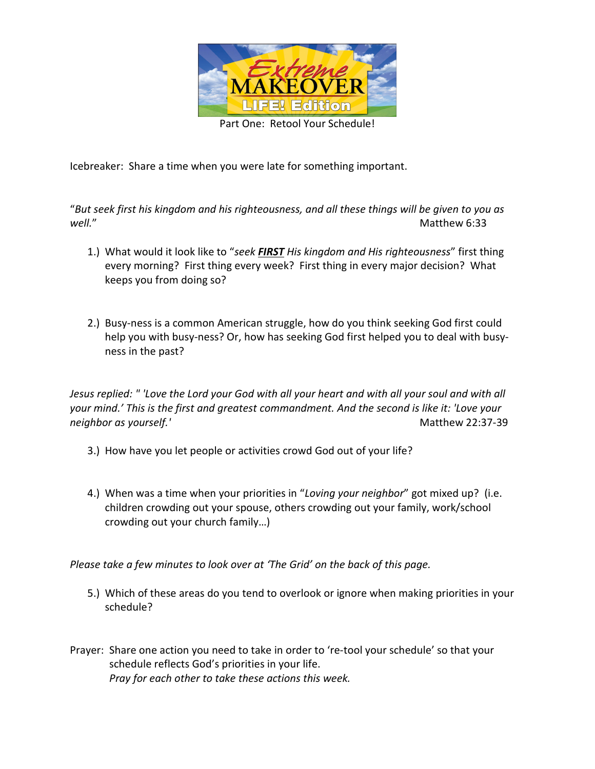

Icebreaker: Share a time when you were late for something important.

"*But seek first his kingdom and his righteousness, and all these things will be given to you as well.*" Matthew 6:33

- 1.) What would it look like to "*seek FIRST His kingdom and His righteousness*" first thing every morning? First thing every week? First thing in every major decision? What keeps you from doing so?
- 2.) Busy-ness is a common American struggle, how do you think seeking God first could help you with busy-ness? Or, how has seeking God first helped you to deal with busyness in the past?

*Jesus replied: " 'Love the Lord your God with all your heart and with all your soul and with all your mind.' This is the first and greatest commandment. And the second is like it: 'Love your neighbor as yourself.'* Matthew 22:37-39

- 3.) How have you let people or activities crowd God out of your life?
- 4.) When was a time when your priorities in "*Loving your neighbor*" got mixed up? (i.e. children crowding out your spouse, others crowding out your family, work/school crowding out your church family…)

*Please take a few minutes to look over at 'The Grid' on the back of this page.* 

- 5.) Which of these areas do you tend to overlook or ignore when making priorities in your schedule?
- Prayer: Share one action you need to take in order to 're-tool your schedule' so that your schedule reflects God's priorities in your life. *Pray for each other to take these actions this week.*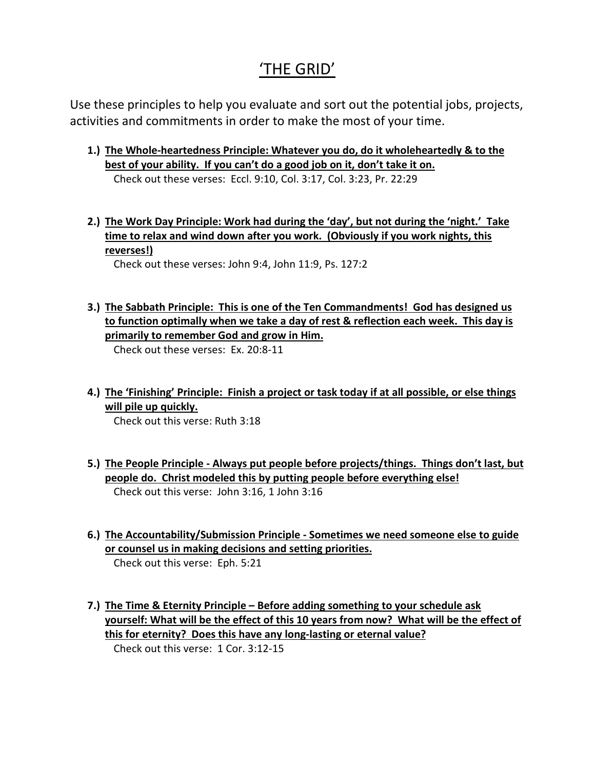# 'THE GRID'

Use these principles to help you evaluate and sort out the potential jobs, projects, activities and commitments in order to make the most of your time.

- **1.) The Whole-heartedness Principle: Whatever you do, do it wholeheartedly & to the best of your ability. If you can't do a good job on it, don't take it on.** Check out these verses: Eccl. 9:10, Col. 3:17, Col. 3:23, Pr. 22:29
- **2.) The Work Day Principle: Work had during the 'day', but not during the 'night.' Take time to relax and wind down after you work. (Obviously if you work nights, this reverses!)**

Check out these verses: John 9:4, John 11:9, Ps. 127:2

- **3.) The Sabbath Principle: This is one of the Ten Commandments! God has designed us to function optimally when we take a day of rest & reflection each week. This day is primarily to remember God and grow in Him.** Check out these verses: Ex. 20:8-11
- **4.) The 'Finishing' Principle: Finish a project or task today if at all possible, or else things will pile up quickly.**

Check out this verse: Ruth 3:18

- **5.) The People Principle Always put people before projects/things. Things don't last, but people do. Christ modeled this by putting people before everything else!** Check out this verse: John 3:16, 1 John 3:16
- **6.) The Accountability/Submission Principle Sometimes we need someone else to guide or counsel us in making decisions and setting priorities.** Check out this verse: Eph. 5:21
- **7.) The Time & Eternity Principle Before adding something to your schedule ask yourself: What will be the effect of this 10 years from now? What will be the effect of this for eternity? Does this have any long-lasting or eternal value?** Check out this verse: 1 Cor. 3:12-15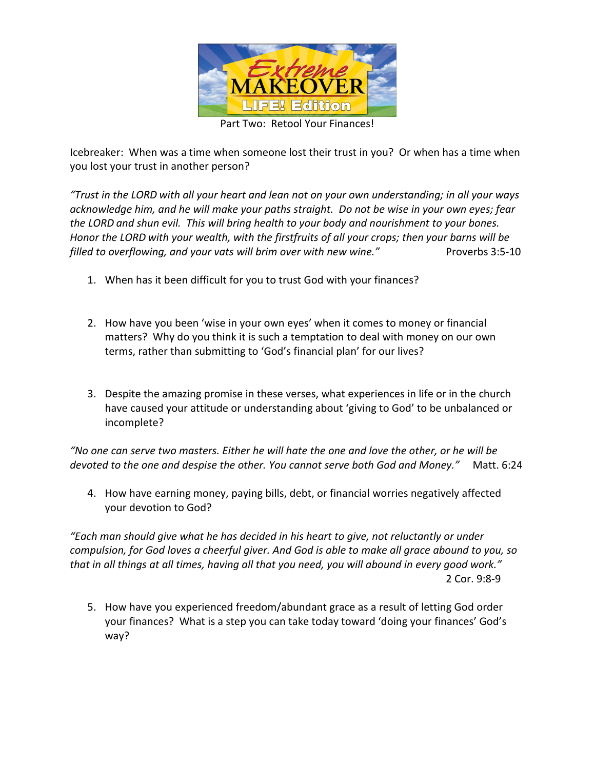

Part Two: Retool Your Finances!

Icebreaker: When was a time when someone lost their trust in you? Or when has a time when you lost your trust in another person?

*"Trust in the LORD with all your heart and lean not on your own understanding; in all your ways acknowledge him, and he will make your paths straight. Do not be wise in your own eyes; fear the LORD and shun evil. This will bring health to your body and nourishment to your bones. Honor the LORD with your wealth, with the firstfruits of all your crops; then your barns will be filled to overflowing, and your vats will brim over with new wine."* Proverbs 3:5-10

- 1. When has it been difficult for you to trust God with your finances?
- 2. How have you been 'wise in your own eyes' when it comes to money or financial matters? Why do you think it is such a temptation to deal with money on our own terms, rather than submitting to 'God's financial plan' for our lives?
- 3. Despite the amazing promise in these verses, what experiences in life or in the church have caused your attitude or understanding about 'giving to God' to be unbalanced or incomplete?

*"No one can serve two masters. Either he will hate the one and love the other, or he will be devoted to the one and despise the other. You cannot serve both God and Money."* Matt. 6:24

4. How have earning money, paying bills, debt, or financial worries negatively affected your devotion to God?

*"Each man should give what he has decided in his heart to give, not reluctantly or under compulsion, for God loves a cheerful giver. And God is able to make all grace abound to you, so that in all things at all times, having all that you need, you will abound in every good work."*  2 Cor. 9:8-9

5. How have you experienced freedom/abundant grace as a result of letting God order your finances? What is a step you can take today toward 'doing your finances' God's way?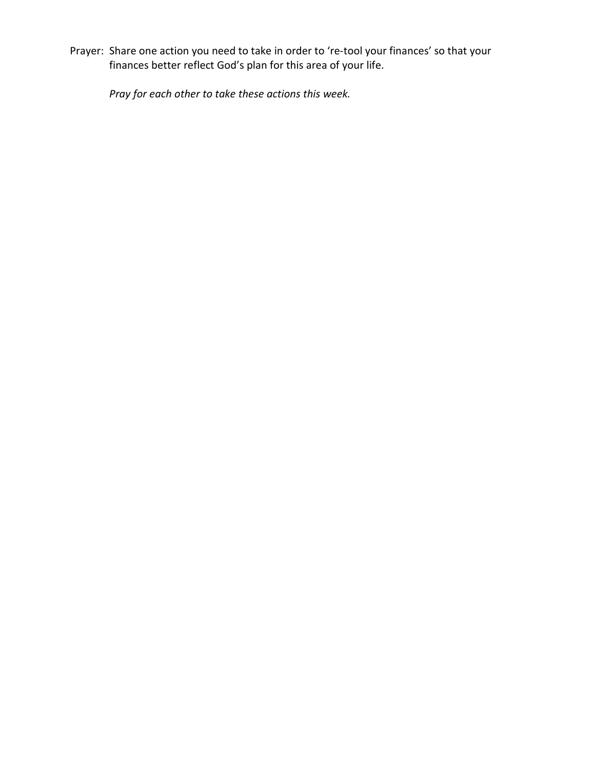Prayer: Share one action you need to take in order to 're-tool your finances' so that your finances better reflect God's plan for this area of your life.

*Pray for each other to take these actions this week.*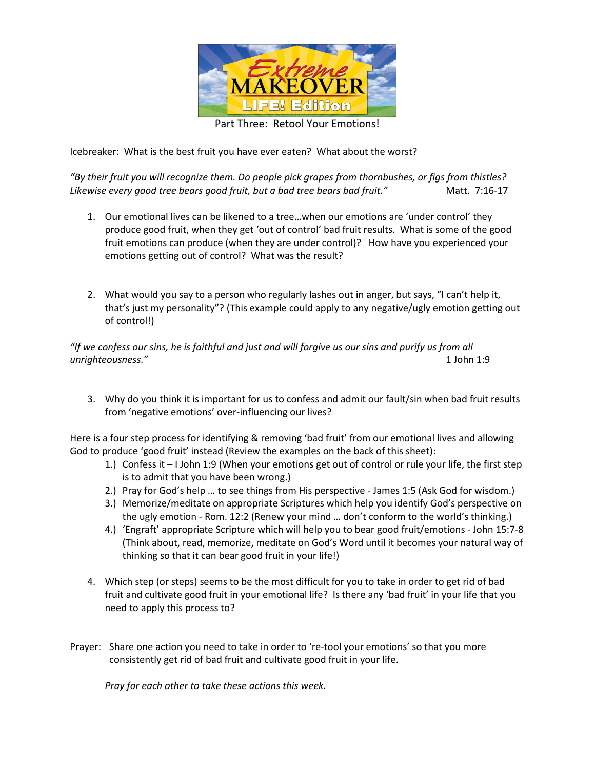

Part Three: Retool Your Emotions!

Icebreaker: What is the best fruit you have ever eaten? What about the worst?

*"By their fruit you will recognize them. Do people pick grapes from thornbushes, or figs from thistles?*  Likewise every good tree bears good fruit, but a bad tree bears bad fruit." Matt. 7:16-17

- 1. Our emotional lives can be likened to a tree…when our emotions are 'under control' they produce good fruit, when they get 'out of control' bad fruit results. What is some of the good fruit emotions can produce (when they are under control)? How have you experienced your emotions getting out of control? What was the result?
- 2. What would you say to a person who regularly lashes out in anger, but says, "I can't help it, that's just my personality"? (This example could apply to any negative/ugly emotion getting out of control!)

*"If we confess our sins, he is faithful and just and will forgive us our sins and purify us from all unrighteousness."* 1 John 1:9

3. Why do you think it is important for us to confess and admit our fault/sin when bad fruit results from 'negative emotions' over-influencing our lives?

Here is a four step process for identifying & removing 'bad fruit' from our emotional lives and allowing God to produce 'good fruit' instead (Review the examples on the back of this sheet):

- 1.) Confess it I John 1:9 (When your emotions get out of control or rule your life, the first step is to admit that you have been wrong.)
- 2.) Pray for God's help … to see things from His perspective James 1:5 (Ask God for wisdom.)
- 3.) Memorize/meditate on appropriate Scriptures which help you identify God's perspective on the ugly emotion - Rom. 12:2 (Renew your mind … don't conform to the world's thinking.)
- 4.) 'Engraft' appropriate Scripture which will help you to bear good fruit/emotions John 15:7-8 (Think about, read, memorize, meditate on God's Word until it becomes your natural way of thinking so that it can bear good fruit in your life!)
- 4. Which step (or steps) seems to be the most difficult for you to take in order to get rid of bad fruit and cultivate good fruit in your emotional life? Is there any 'bad fruit' in your life that you need to apply this process to?
- Prayer: Share one action you need to take in order to 're-tool your emotions' so that you more consistently get rid of bad fruit and cultivate good fruit in your life.

*Pray for each other to take these actions this week.*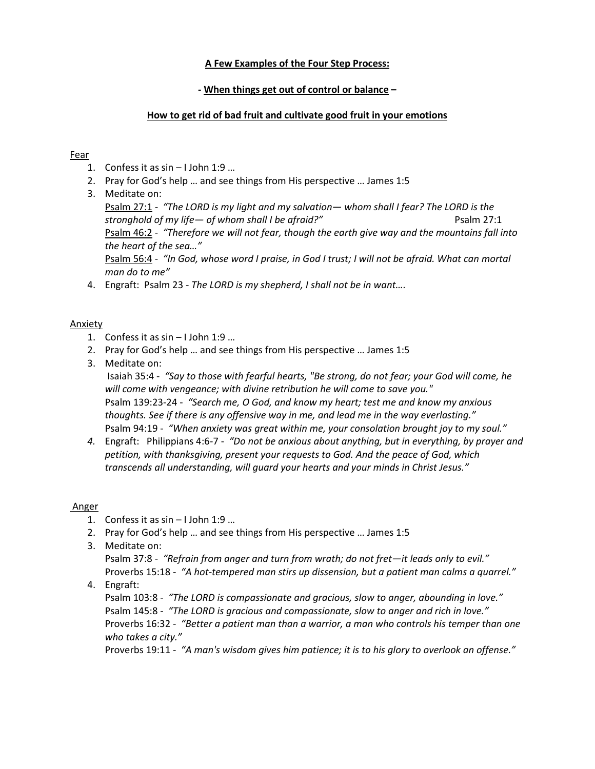#### **A Few Examples of the Four Step Process:**

#### **- When things get out of control or balance –**

#### **How to get rid of bad fruit and cultivate good fruit in your emotions**

#### Fear

- 1. Confess it as sin I John 1:9 …
- 2. Pray for God's help … and see things from His perspective … James 1:5
- 3. Meditate on:

Psalm 27:1 *- "The LORD is my light and my salvation— whom shall I fear? The LORD is the stronghold of my life— of whom shall I be afraid?"* Psalm 27:1 Psalm 46:2 - *"Therefore we will not fear, though the earth give way and the mountains fall into the heart of the sea…"* Psalm 56:4 - *"In God, whose word I praise, in God I trust; I will not be afraid. What can mortal man do to me"* 

4. Engraft: Psalm 23 - *The LORD is my shepherd, I shall not be in want….*

#### Anxiety

- 1. Confess it as sin I John 1:9 …
- 2. Pray for God's help … and see things from His perspective … James 1:5
- 3. Meditate on:

 Isaiah 35:4 - *"Say to those with fearful hearts, "Be strong, do not fear; your God will come, he will come with vengeance; with divine retribution he will come to save you."*  Psalm 139:23-24 - *"Search me, O God, and know my heart; test me and know my anxious thoughts. See if there is any offensive way in me, and lead me in the way everlasting."*  Psalm 94:19 - *"When anxiety was great within me, your consolation brought joy to my soul."*

*4.* Engraft: Philippians 4:6-7 - *"Do not be anxious about anything, but in everything, by prayer and petition, with thanksgiving, present your requests to God. And the peace of God, which transcends all understanding, will guard your hearts and your minds in Christ Jesus."* 

#### Anger

- 1. Confess it as sin I John 1:9 …
- 2. Pray for God's help … and see things from His perspective … James 1:5
- 3. Meditate on:

Psalm 37:8 - *"Refrain from anger and turn from wrath; do not fret—it leads only to evil."* Proverbs 15:18 - *"A hot-tempered man stirs up dissension, but a patient man calms a quarrel."* 

4. Engraft:

Psalm 103:8 - *"The LORD is compassionate and gracious, slow to anger, abounding in love."*  Psalm 145:8 - *"The LORD is gracious and compassionate, slow to anger and rich in love."* Proverbs 16:32 - *"Better a patient man than a warrior, a man who controls his temper than one who takes a city."*

Proverbs 19:11 - *"A man's wisdom gives him patience; it is to his glory to overlook an offense."*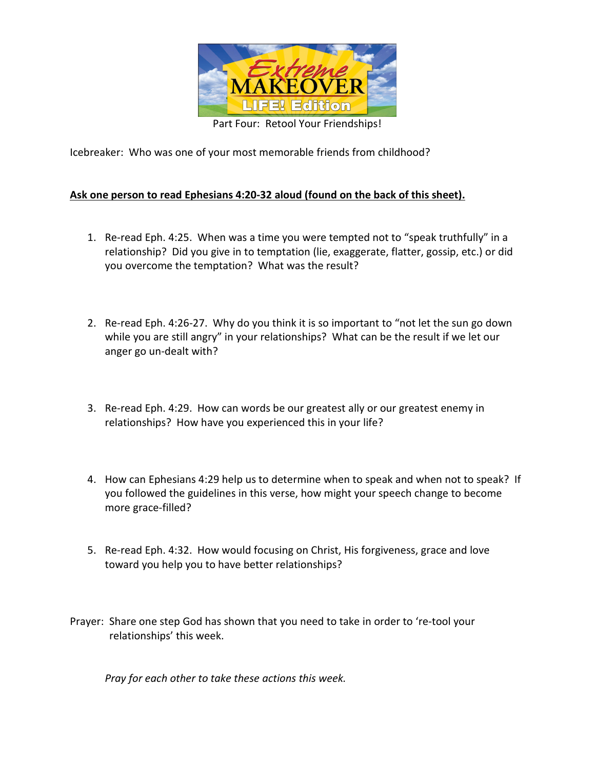

Icebreaker: Who was one of your most memorable friends from childhood?

# **Ask one person to read Ephesians 4:20-32 aloud (found on the back of this sheet).**

- 1. Re-read Eph. 4:25. When was a time you were tempted not to "speak truthfully" in a relationship? Did you give in to temptation (lie, exaggerate, flatter, gossip, etc.) or did you overcome the temptation? What was the result?
- 2. Re-read Eph. 4:26-27. Why do you think it is so important to "not let the sun go down while you are still angry" in your relationships? What can be the result if we let our anger go un-dealt with?
- 3. Re-read Eph. 4:29. How can words be our greatest ally or our greatest enemy in relationships? How have you experienced this in your life?
- 4. How can Ephesians 4:29 help us to determine when to speak and when not to speak? If you followed the guidelines in this verse, how might your speech change to become more grace-filled?
- 5. Re-read Eph. 4:32. How would focusing on Christ, His forgiveness, grace and love toward you help you to have better relationships?
- Prayer: Share one step God has shown that you need to take in order to 're-tool your relationships' this week.

*Pray for each other to take these actions this week.*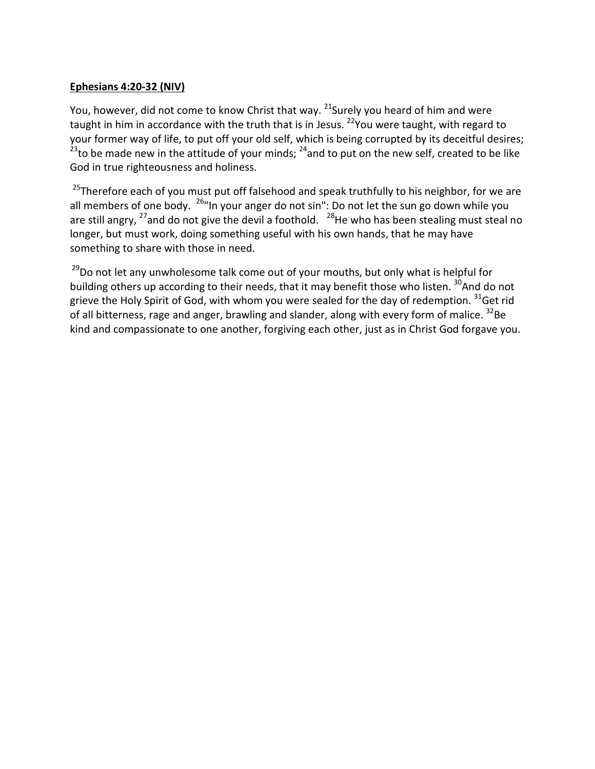## **Ephesians 4:20-32 (NIV)**

You, however, did not come to know Christ that way. <sup>21</sup>Surely you heard of him and were taught in him in accordance with the truth that is in Jesus. <sup>22</sup>You were taught, with regard to your former way of life, to put off your old self, which is being corrupted by its deceitful desires;  $23$  to be made new in the attitude of your minds;  $24$  and to put on the new self, created to be like God in true righteousness and holiness.

<sup>25</sup>Therefore each of you must put off falsehood and speak truthfully to his neighbor, for we are all members of one body.  $^{26}$ "In your anger do not sin": Do not let the sun go down while you are still angry,  $^{27}$  and do not give the devil a foothold.  $^{28}$ He who has been stealing must steal no longer, but must work, doing something useful with his own hands, that he may have something to share with those in need.

 $29$ Do not let any unwholesome talk come out of your mouths, but only what is helpful for building others up according to their needs, that it may benefit those who listen. <sup>30</sup>And do not grieve the Holy Spirit of God, with whom you were sealed for the day of redemption. <sup>31</sup>Get rid of all bitterness, rage and anger, brawling and slander, along with every form of malice. <sup>32</sup>Be kind and compassionate to one another, forgiving each other, just as in Christ God forgave you.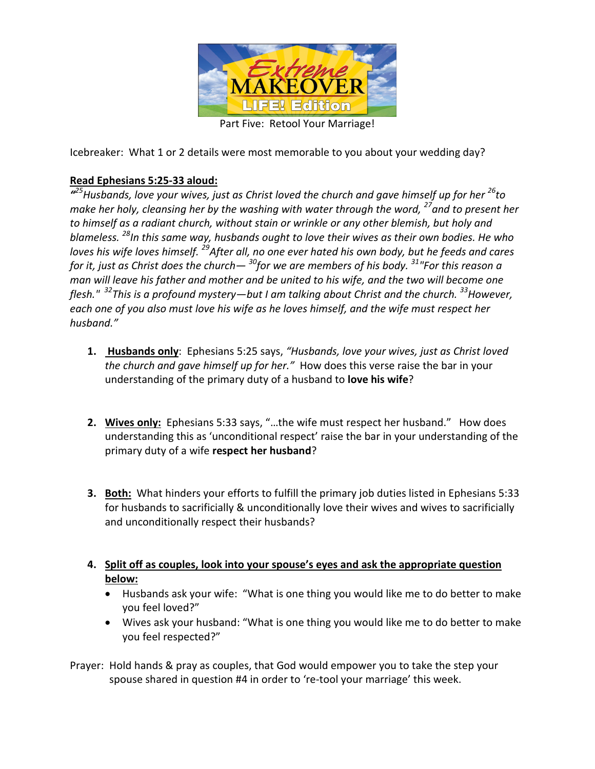

Part Five: Retool Your Marriage!

Icebreaker: What 1 or 2 details were most memorable to you about your wedding day?

# **Read Ephesians 5:25-33 aloud:**

*" <sup>25</sup>Husbands, love your wives, just as Christ loved the church and gave himself up for her <sup>26</sup>to make her holy, cleansing her by the washing with water through the word, <sup>27</sup><i>and to present her to himself as a radiant church, without stain or wrinkle or any other blemish, but holy and blameless. <sup>28</sup>In this same way, husbands ought to love their wives as their own bodies. He who loves his wife loves himself. <sup>29</sup>After all, no one ever hated his own body, but he feeds and cares for it, just as Christ does the church— <sup>30</sup>for we are members of his body. <sup>31</sup>"For this reason a man will leave his father and mother and be united to his wife, and the two will become one flesh." <sup>32</sup>This is a profound mystery—but I am talking about Christ and the church. <sup>33</sup>However, each one of you also must love his wife as he loves himself, and the wife must respect her husband."*

- **1. Husbands only**: Ephesians 5:25 says, *"Husbands, love your wives, just as Christ loved the church and gave himself up for her."* How does this verse raise the bar in your understanding of the primary duty of a husband to **love his wife**?
- **2. Wives only:** Ephesians 5:33 says, "…the wife must respect her husband." How does understanding this as 'unconditional respect' raise the bar in your understanding of the primary duty of a wife **respect her husband**?
- **3. Both:** What hinders your efforts to fulfill the primary job duties listed in Ephesians 5:33 for husbands to sacrificially & unconditionally love their wives and wives to sacrificially and unconditionally respect their husbands?
- **4. Split off as couples, look into your spouse's eyes and ask the appropriate question below:**
	- Husbands ask your wife: "What is one thing you would like me to do better to make you feel loved?"
	- Wives ask your husband: "What is one thing you would like me to do better to make you feel respected?"
- Prayer: Hold hands & pray as couples, that God would empower you to take the step your spouse shared in question #4 in order to 're-tool your marriage' this week.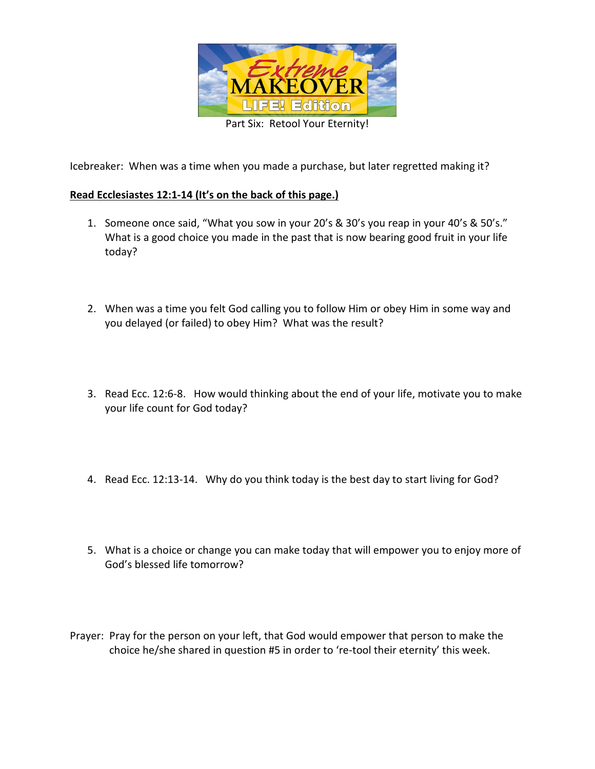

Icebreaker: When was a time when you made a purchase, but later regretted making it?

## **Read Ecclesiastes 12:1-14 (It's on the back of this page.)**

- 1. Someone once said, "What you sow in your 20's & 30's you reap in your 40's & 50's." What is a good choice you made in the past that is now bearing good fruit in your life today?
- 2. When was a time you felt God calling you to follow Him or obey Him in some way and you delayed (or failed) to obey Him? What was the result?
- 3. Read Ecc. 12:6-8. How would thinking about the end of your life, motivate you to make your life count for God today?
- 4. Read Ecc. 12:13-14. Why do you think today is the best day to start living for God?
- 5. What is a choice or change you can make today that will empower you to enjoy more of God's blessed life tomorrow?
- Prayer: Pray for the person on your left, that God would empower that person to make the choice he/she shared in question #5 in order to 're-tool their eternity' this week.